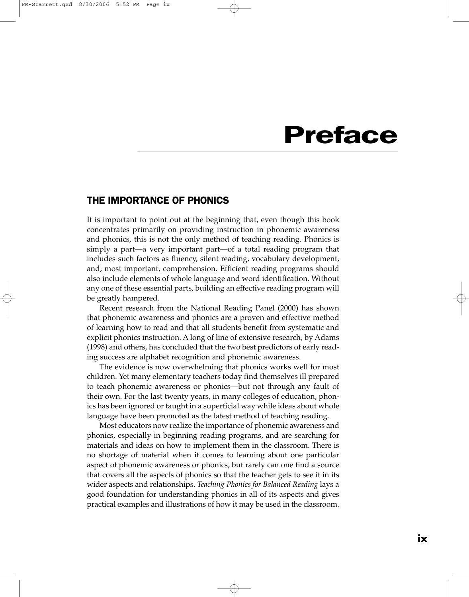# Preface

## THE IMPORTANCE OF PHONICS

It is important to point out at the beginning that, even though this book concentrates primarily on providing instruction in phonemic awareness and phonics, this is not the only method of teaching reading. Phonics is simply a part—a very important part—of a total reading program that includes such factors as fluency, silent reading, vocabulary development, and, most important, comprehension. Efficient reading programs should also include elements of whole language and word identification. Without any one of these essential parts, building an effective reading program will be greatly hampered.

Recent research from the National Reading Panel (2000) has shown that phonemic awareness and phonics are a proven and effective method of learning how to read and that all students benefit from systematic and explicit phonics instruction. A long of line of extensive research, by Adams (1998) and others, has concluded that the two best predictors of early reading success are alphabet recognition and phonemic awareness.

The evidence is now overwhelming that phonics works well for most children. Yet many elementary teachers today find themselves ill prepared to teach phonemic awareness or phonics—but not through any fault of their own. For the last twenty years, in many colleges of education, phonics has been ignored or taught in a superficial way while ideas about whole language have been promoted as the latest method of teaching reading.

Most educators now realize the importance of phonemic awareness and phonics, especially in beginning reading programs, and are searching for materials and ideas on how to implement them in the classroom. There is no shortage of material when it comes to learning about one particular aspect of phonemic awareness or phonics, but rarely can one find a source that covers all the aspects of phonics so that the teacher gets to see it in its wider aspects and relationships. *Teaching Phonics for Balanced Reading* lays a good foundation for understanding phonics in all of its aspects and gives practical examples and illustrations of how it may be used in the classroom.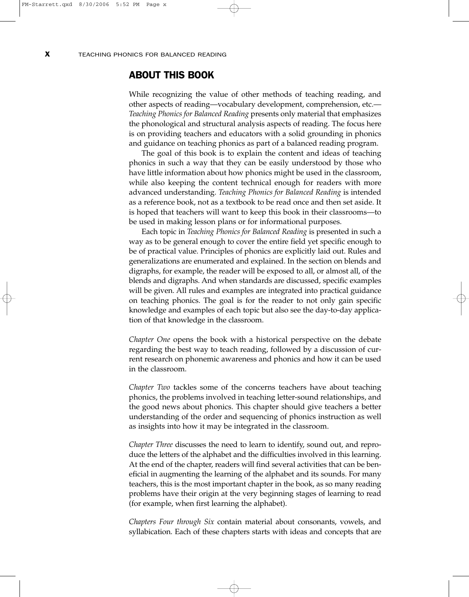#### X **TEACHING PHONICS FOR BALANCED READING**

## ABOUT THIS BOOK

While recognizing the value of other methods of teaching reading, and other aspects of reading—vocabulary development, comprehension, etc.— *Teaching Phonics for Balanced Reading* presents only material that emphasizes the phonological and structural analysis aspects of reading. The focus here is on providing teachers and educators with a solid grounding in phonics and guidance on teaching phonics as part of a balanced reading program.

The goal of this book is to explain the content and ideas of teaching phonics in such a way that they can be easily understood by those who have little information about how phonics might be used in the classroom, while also keeping the content technical enough for readers with more advanced understanding. *Teaching Phonics for Balanced Reading* is intended as a reference book, not as a textbook to be read once and then set aside. It is hoped that teachers will want to keep this book in their classrooms—to be used in making lesson plans or for informational purposes.

Each topic in *Teaching Phonics for Balanced Reading* is presented in such a way as to be general enough to cover the entire field yet specific enough to be of practical value. Principles of phonics are explicitly laid out. Rules and generalizations are enumerated and explained. In the section on blends and digraphs, for example, the reader will be exposed to all, or almost all, of the blends and digraphs. And when standards are discussed, specific examples will be given. All rules and examples are integrated into practical guidance on teaching phonics. The goal is for the reader to not only gain specific knowledge and examples of each topic but also see the day-to-day application of that knowledge in the classroom.

*Chapter One* opens the book with a historical perspective on the debate regarding the best way to teach reading, followed by a discussion of current research on phonemic awareness and phonics and how it can be used in the classroom.

*Chapter Two* tackles some of the concerns teachers have about teaching phonics, the problems involved in teaching letter-sound relationships, and the good news about phonics. This chapter should give teachers a better understanding of the order and sequencing of phonics instruction as well as insights into how it may be integrated in the classroom.

*Chapter Three* discusses the need to learn to identify, sound out, and reproduce the letters of the alphabet and the difficulties involved in this learning. At the end of the chapter, readers will find several activities that can be beneficial in augmenting the learning of the alphabet and its sounds. For many teachers, this is the most important chapter in the book, as so many reading problems have their origin at the very beginning stages of learning to read (for example, when first learning the alphabet).

*Chapters Four through Six* contain material about consonants, vowels, and syllabication. Each of these chapters starts with ideas and concepts that are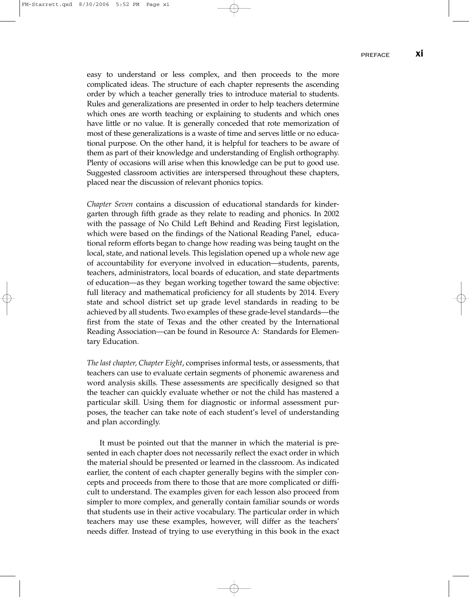easy to understand or less complex, and then proceeds to the more complicated ideas. The structure of each chapter represents the ascending order by which a teacher generally tries to introduce material to students. Rules and generalizations are presented in order to help teachers determine which ones are worth teaching or explaining to students and which ones have little or no value. It is generally conceded that rote memorization of most of these generalizations is a waste of time and serves little or no educational purpose. On the other hand, it is helpful for teachers to be aware of them as part of their knowledge and understanding of English orthography. Plenty of occasions will arise when this knowledge can be put to good use. Suggested classroom activities are interspersed throughout these chapters, placed near the discussion of relevant phonics topics.

*Chapter Seven* contains a discussion of educational standards for kindergarten through fifth grade as they relate to reading and phonics. In 2002 with the passage of No Child Left Behind and Reading First legislation, which were based on the findings of the National Reading Panel, educational reform efforts began to change how reading was being taught on the local, state, and national levels. This legislation opened up a whole new age of accountability for everyone involved in education—students, parents, teachers, administrators, local boards of education, and state departments of education—as they began working together toward the same objective: full literacy and mathematical proficiency for all students by 2014. Every state and school district set up grade level standards in reading to be achieved by all students. Two examples of these grade-level standards—the first from the state of Texas and the other created by the International Reading Association—can be found in Resource A: Standards for Elementary Education.

*The last chapter, Chapter Eight*, comprises informal tests, or assessments, that teachers can use to evaluate certain segments of phonemic awareness and word analysis skills. These assessments are specifically designed so that the teacher can quickly evaluate whether or not the child has mastered a particular skill. Using them for diagnostic or informal assessment purposes, the teacher can take note of each student's level of understanding and plan accordingly.

It must be pointed out that the manner in which the material is presented in each chapter does not necessarily reflect the exact order in which the material should be presented or learned in the classroom. As indicated earlier, the content of each chapter generally begins with the simpler concepts and proceeds from there to those that are more complicated or difficult to understand. The examples given for each lesson also proceed from simpler to more complex, and generally contain familiar sounds or words that students use in their active vocabulary. The particular order in which teachers may use these examples, however, will differ as the teachers' needs differ. Instead of trying to use everything in this book in the exact